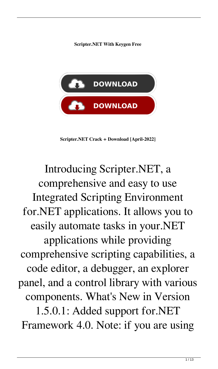**Scripter.NET With Keygen Free**



**Scripter.NET Crack + Download [April-2022]**

Introducing Scripter.NET, a comprehensive and easy to use Integrated Scripting Environment for.NET applications. It allows you to easily automate tasks in your.NET applications while providing comprehensive scripting capabilities, a code editor, a debugger, an explorer panel, and a control library with various components. What's New in Version 1.5.0.1: Added support for.NET Framework 4.0. Note: if you are using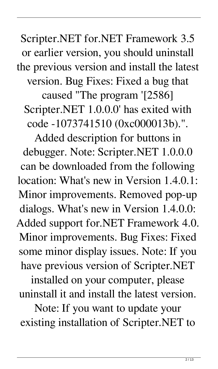Scripter.NET for.NET Framework 3.5 or earlier version, you should uninstall the previous version and install the latest version. Bug Fixes: Fixed a bug that caused "The program '[2586] Scripter.NET 1.0.0.0' has exited with code -1073741510 (0xc000013b).".

Added description for buttons in debugger. Note: Scripter.NET 1.0.0.0 can be downloaded from the following location: What's new in Version 1.4.0.1: Minor improvements. Removed pop-up dialogs. What's new in Version 1.4.0.0: Added support for.NET Framework 4.0. Minor improvements. Bug Fixes: Fixed some minor display issues. Note: If you have previous version of Scripter.NET

installed on your computer, please uninstall it and install the latest version.

Note: If you want to update your existing installation of Scripter.NET to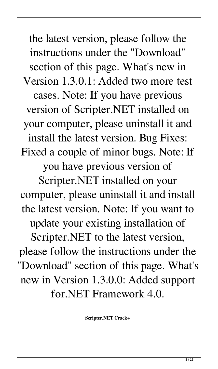the latest version, please follow the instructions under the "Download" section of this page. What's new in Version 1.3.0.1: Added two more test cases. Note: If you have previous version of Scripter.NET installed on your computer, please uninstall it and install the latest version. Bug Fixes: Fixed a couple of minor bugs. Note: If you have previous version of Scripter.NET installed on your computer, please uninstall it and install the latest version. Note: If you want to update your existing installation of Scripter.NET to the latest version, please follow the instructions under the "Download" section of this page. What's new in Version 1.3.0.0: Added support for.NET Framework 4.0.

**Scripter.NET Crack+**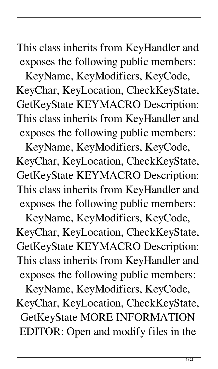This class inherits from KeyHandler and exposes the following public members:

KeyName, KeyModifiers, KeyCode, KeyChar, KeyLocation, CheckKeyState, GetKeyState KEYMACRO Description: This class inherits from KeyHandler and exposes the following public members:

KeyName, KeyModifiers, KeyCode, KeyChar, KeyLocation, CheckKeyState, GetKeyState KEYMACRO Description: This class inherits from KeyHandler and exposes the following public members:

KeyName, KeyModifiers, KeyCode, KeyChar, KeyLocation, CheckKeyState, GetKeyState KEYMACRO Description: This class inherits from KeyHandler and exposes the following public members:

KeyName, KeyModifiers, KeyCode, KeyChar, KeyLocation, CheckKeyState, GetKeyState MORE INFORMATION EDITOR: Open and modify files in the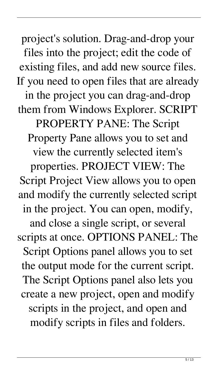project's solution. Drag-and-drop your files into the project; edit the code of existing files, and add new source files. If you need to open files that are already in the project you can drag-and-drop them from Windows Explorer. SCRIPT PROPERTY PANE: The Script Property Pane allows you to set and view the currently selected item's properties. PROJECT VIEW: The Script Project View allows you to open and modify the currently selected script in the project. You can open, modify, and close a single script, or several scripts at once. OPTIONS PANEL: The Script Options panel allows you to set the output mode for the current script. The Script Options panel also lets you create a new project, open and modify scripts in the project, and open and modify scripts in files and folders.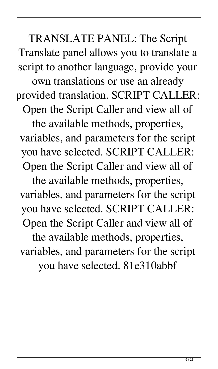TRANSLATE PANEL: The Script Translate panel allows you to translate a script to another language, provide your

own translations or use an already provided translation. SCRIPT CALLER:

Open the Script Caller and view all of

the available methods, properties, variables, and parameters for the script you have selected. SCRIPT CALLER: Open the Script Caller and view all of

the available methods, properties, variables, and parameters for the script you have selected. SCRIPT CALLER: Open the Script Caller and view all of the available methods, properties, variables, and parameters for the script you have selected. 81e310abbf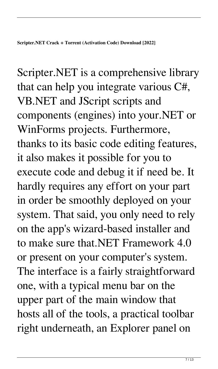Scripter.NET is a comprehensive library that can help you integrate various C#, VB.NET and JScript scripts and components (engines) into your.NET or WinForms projects. Furthermore, thanks to its basic code editing features, it also makes it possible for you to execute code and debug it if need be. It hardly requires any effort on your part in order be smoothly deployed on your system. That said, you only need to rely on the app's wizard-based installer and to make sure that.NET Framework 4.0 or present on your computer's system. The interface is a fairly straightforward one, with a typical menu bar on the upper part of the main window that hosts all of the tools, a practical toolbar right underneath, an Explorer panel on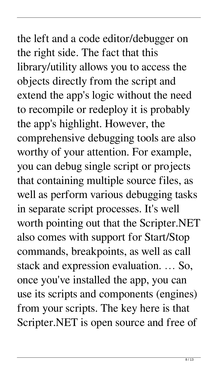# the left and a code editor/debugger on the right side. The fact that this library/utility allows you to access the objects directly from the script and extend the app's logic without the need to recompile or redeploy it is probably the app's highlight. However, the comprehensive debugging tools are also worthy of your attention. For example, you can debug single script or projects that containing multiple source files, as well as perform various debugging tasks in separate script processes. It's well worth pointing out that the Scripter.NET also comes with support for Start/Stop commands, breakpoints, as well as call stack and expression evaluation. … So, once you've installed the app, you can use its scripts and components (engines) from your scripts. The key here is that Scripter.NET is open source and free of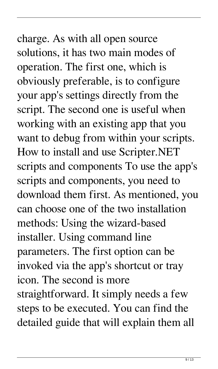# charge. As with all open source solutions, it has two main modes of operation. The first one, which is obviously preferable, is to configure your app's settings directly from the script. The second one is useful when working with an existing app that you want to debug from within your scripts. How to install and use Scripter.NET scripts and components To use the app's scripts and components, you need to download them first. As mentioned, you can choose one of the two installation methods: Using the wizard-based installer. Using command line parameters. The first option can be invoked via the app's shortcut or tray icon. The second is more straightforward. It simply needs a few steps to be executed. You can find the detailed guide that will explain them all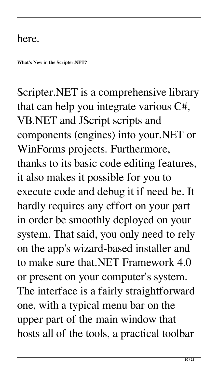#### here.

**What's New in the Scripter.NET?**

Scripter.NET is a comprehensive library that can help you integrate various C#, VB.NET and JScript scripts and components (engines) into your.NET or WinForms projects. Furthermore, thanks to its basic code editing features, it also makes it possible for you to execute code and debug it if need be. It hardly requires any effort on your part in order be smoothly deployed on your system. That said, you only need to rely on the app's wizard-based installer and to make sure that.NET Framework 4.0 or present on your computer's system. The interface is a fairly straightforward one, with a typical menu bar on the upper part of the main window that hosts all of the tools, a practical toolbar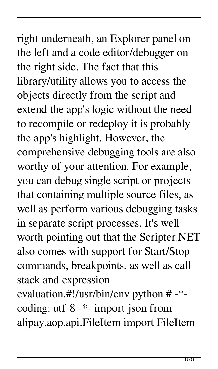right underneath, an Explorer panel on the left and a code editor/debugger on the right side. The fact that this library/utility allows you to access the objects directly from the script and extend the app's logic without the need to recompile or redeploy it is probably the app's highlight. However, the comprehensive debugging tools are also worthy of your attention. For example, you can debug single script or projects that containing multiple source files, as well as perform various debugging tasks in separate script processes. It's well worth pointing out that the Scripter.NET also comes with support for Start/Stop commands, breakpoints, as well as call stack and expression

evaluation.#!/usr/bin/env python # -\* coding: utf-8 -\*- import json from alipay.aop.api.FileItem import FileItem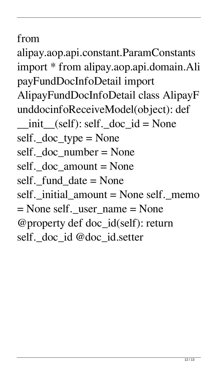### from

alipay.aop.api.constant.ParamConstants import \* from alipay.aop.api.domain.Ali payFundDocInfoDetail import AlipayFundDocInfoDetail class AlipayF unddocinfoReceiveModel(object): def  $\_init$  (self): self.  $doc\_id$  = None self.\_doc\_type = None self. doc number  $=$  None self. doc\_amount = None self. fund  $date = None$ self.\_initial\_amount = None self.\_memo  $=$  None self. user name  $=$  None @property def doc\_id(self): return self.\_doc\_id @doc\_id.setter